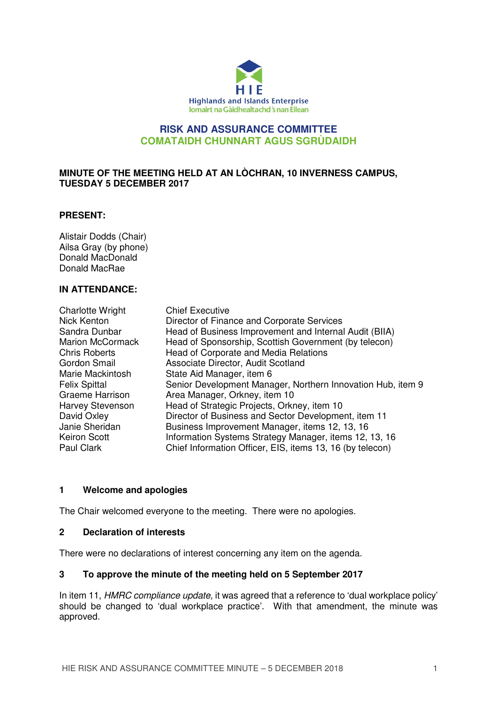

# **RISK AND ASSURANCE COMMITTEE COMATAIDH CHUNNART AGUS SGRÙDAIDH**

### **MINUTE OF THE MEETING HELD AT AN LÒCHRAN, 10 INVERNESS CAMPUS, TUESDAY 5 DECEMBER 2017**

### **PRESENT:**

Alistair Dodds (Chair) Ailsa Gray (by phone) Donald MacDonald Donald MacRae

## **IN ATTENDANCE:**

| <b>Charlotte Wright</b> | <b>Chief Executive</b>                                      |
|-------------------------|-------------------------------------------------------------|
| Nick Kenton             | Director of Finance and Corporate Services                  |
| Sandra Dunbar           | Head of Business Improvement and Internal Audit (BIIA)      |
| <b>Marion McCormack</b> | Head of Sponsorship, Scottish Government (by telecon)       |
| <b>Chris Roberts</b>    | Head of Corporate and Media Relations                       |
| Gordon Smail            | Associate Director, Audit Scotland                          |
| Marie Mackintosh        | State Aid Manager, item 6                                   |
| <b>Felix Spittal</b>    | Senior Development Manager, Northern Innovation Hub, item 9 |
| Graeme Harrison         | Area Manager, Orkney, item 10                               |
| Harvey Stevenson        | Head of Strategic Projects, Orkney, item 10                 |
| David Oxley             | Director of Business and Sector Development, item 11        |
| Janie Sheridan          | Business Improvement Manager, items 12, 13, 16              |
| <b>Keiron Scott</b>     | Information Systems Strategy Manager, items 12, 13, 16      |
| Paul Clark              | Chief Information Officer, EIS, items 13, 16 (by telecon)   |

### **1 Welcome and apologies**

The Chair welcomed everyone to the meeting. There were no apologies.

#### **2 Declaration of interests**

There were no declarations of interest concerning any item on the agenda.

#### **3 To approve the minute of the meeting held on 5 September 2017**

In item 11, HMRC compliance update, it was agreed that a reference to 'dual workplace policy' should be changed to 'dual workplace practice'. With that amendment, the minute was approved.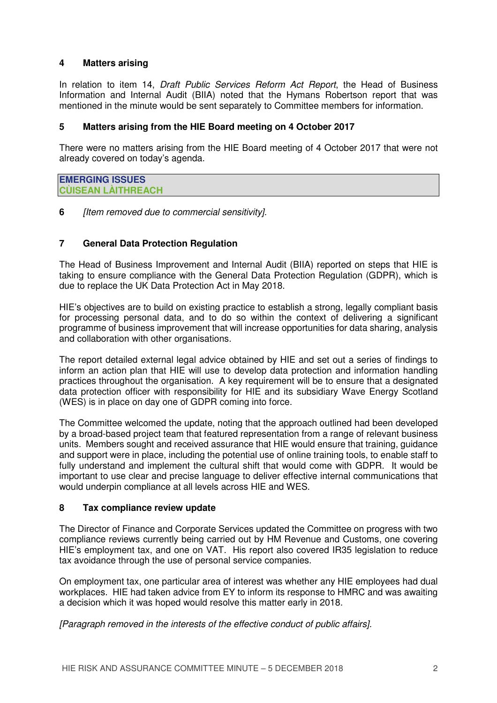## **4 Matters arising**

In relation to item 14, *Draft Public Services Reform Act Report*, the Head of Business Information and Internal Audit (BIIA) noted that the Hymans Robertson report that was mentioned in the minute would be sent separately to Committee members for information.

## **5 Matters arising from the HIE Board meeting on 4 October 2017**

There were no matters arising from the HIE Board meeting of 4 October 2017 that were not already covered on today's agenda.

| <b>EMERGING ISSUES</b>    |  |
|---------------------------|--|
| <b>CUISEAN LAITHREACH</b> |  |

**6** [Item removed due to commercial sensitivity].

### **7 General Data Protection Regulation**

The Head of Business Improvement and Internal Audit (BIIA) reported on steps that HIE is taking to ensure compliance with the General Data Protection Regulation (GDPR), which is due to replace the UK Data Protection Act in May 2018.

HIE's objectives are to build on existing practice to establish a strong, legally compliant basis for processing personal data, and to do so within the context of delivering a significant programme of business improvement that will increase opportunities for data sharing, analysis and collaboration with other organisations.

The report detailed external legal advice obtained by HIE and set out a series of findings to inform an action plan that HIE will use to develop data protection and information handling practices throughout the organisation. A key requirement will be to ensure that a designated data protection officer with responsibility for HIE and its subsidiary Wave Energy Scotland (WES) is in place on day one of GDPR coming into force.

The Committee welcomed the update, noting that the approach outlined had been developed by a broad-based project team that featured representation from a range of relevant business units. Members sought and received assurance that HIE would ensure that training, guidance and support were in place, including the potential use of online training tools, to enable staff to fully understand and implement the cultural shift that would come with GDPR. It would be important to use clear and precise language to deliver effective internal communications that would underpin compliance at all levels across HIE and WES.

### **8 Tax compliance review update**

The Director of Finance and Corporate Services updated the Committee on progress with two compliance reviews currently being carried out by HM Revenue and Customs, one covering HIE's employment tax, and one on VAT. His report also covered IR35 legislation to reduce tax avoidance through the use of personal service companies.

On employment tax, one particular area of interest was whether any HIE employees had dual workplaces. HIE had taken advice from EY to inform its response to HMRC and was awaiting a decision which it was hoped would resolve this matter early in 2018.

[Paragraph removed in the interests of the effective conduct of public affairs].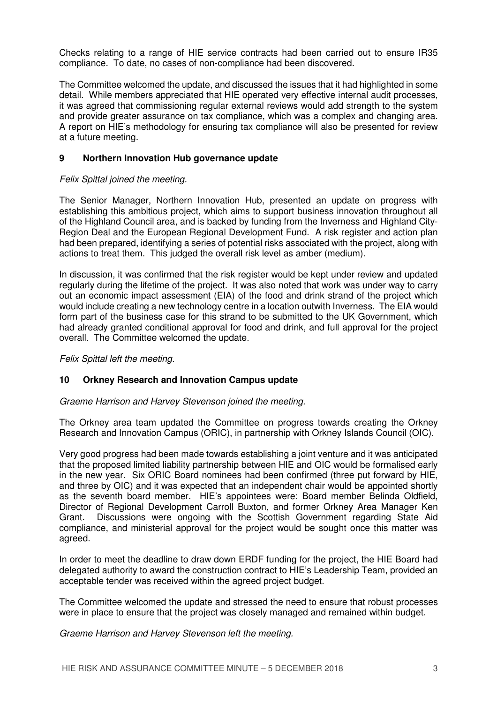Checks relating to a range of HIE service contracts had been carried out to ensure IR35 compliance. To date, no cases of non-compliance had been discovered.

The Committee welcomed the update, and discussed the issues that it had highlighted in some detail. While members appreciated that HIE operated very effective internal audit processes, it was agreed that commissioning regular external reviews would add strength to the system and provide greater assurance on tax compliance, which was a complex and changing area. A report on HIE's methodology for ensuring tax compliance will also be presented for review at a future meeting.

## **9 Northern Innovation Hub governance update**

## Felix Spittal joined the meeting.

The Senior Manager, Northern Innovation Hub, presented an update on progress with establishing this ambitious project, which aims to support business innovation throughout all of the Highland Council area, and is backed by funding from the Inverness and Highland City-Region Deal and the European Regional Development Fund. A risk register and action plan had been prepared, identifying a series of potential risks associated with the project, along with actions to treat them. This judged the overall risk level as amber (medium).

In discussion, it was confirmed that the risk register would be kept under review and updated regularly during the lifetime of the project. It was also noted that work was under way to carry out an economic impact assessment (EIA) of the food and drink strand of the project which would include creating a new technology centre in a location outwith Inverness. The EIA would form part of the business case for this strand to be submitted to the UK Government, which had already granted conditional approval for food and drink, and full approval for the project overall. The Committee welcomed the update.

Felix Spittal left the meeting.

### **10 Orkney Research and Innovation Campus update**

Graeme Harrison and Harvey Stevenson joined the meeting.

The Orkney area team updated the Committee on progress towards creating the Orkney Research and Innovation Campus (ORIC), in partnership with Orkney Islands Council (OIC).

Very good progress had been made towards establishing a joint venture and it was anticipated that the proposed limited liability partnership between HIE and OIC would be formalised early in the new year. Six ORIC Board nominees had been confirmed (three put forward by HIE, and three by OIC) and it was expected that an independent chair would be appointed shortly as the seventh board member. HIE's appointees were: Board member Belinda Oldfield, Director of Regional Development Carroll Buxton, and former Orkney Area Manager Ken Grant. Discussions were ongoing with the Scottish Government regarding State Aid compliance, and ministerial approval for the project would be sought once this matter was agreed.

In order to meet the deadline to draw down ERDF funding for the project, the HIE Board had delegated authority to award the construction contract to HIE's Leadership Team, provided an acceptable tender was received within the agreed project budget.

The Committee welcomed the update and stressed the need to ensure that robust processes were in place to ensure that the project was closely managed and remained within budget.

Graeme Harrison and Harvey Stevenson left the meeting.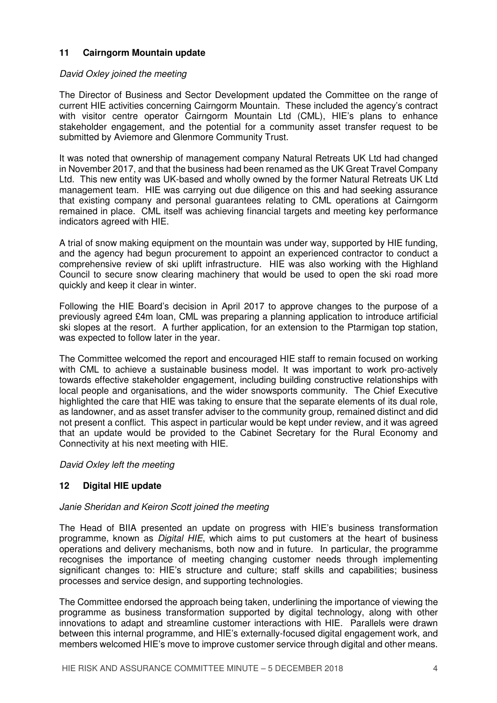# **11 Cairngorm Mountain update**

### David Oxley joined the meeting

The Director of Business and Sector Development updated the Committee on the range of current HIE activities concerning Cairngorm Mountain. These included the agency's contract with visitor centre operator Cairngorm Mountain Ltd (CML), HIE's plans to enhance stakeholder engagement, and the potential for a community asset transfer request to be submitted by Aviemore and Glenmore Community Trust.

It was noted that ownership of management company Natural Retreats UK Ltd had changed in November 2017, and that the business had been renamed as the UK Great Travel Company Ltd. This new entity was UK-based and wholly owned by the former Natural Retreats UK Ltd management team. HIE was carrying out due diligence on this and had seeking assurance that existing company and personal guarantees relating to CML operations at Cairngorm remained in place. CML itself was achieving financial targets and meeting key performance indicators agreed with HIE.

A trial of snow making equipment on the mountain was under way, supported by HIE funding, and the agency had begun procurement to appoint an experienced contractor to conduct a comprehensive review of ski uplift infrastructure. HIE was also working with the Highland Council to secure snow clearing machinery that would be used to open the ski road more quickly and keep it clear in winter.

Following the HIE Board's decision in April 2017 to approve changes to the purpose of a previously agreed £4m loan, CML was preparing a planning application to introduce artificial ski slopes at the resort. A further application, for an extension to the Ptarmigan top station, was expected to follow later in the year.

The Committee welcomed the report and encouraged HIE staff to remain focused on working with CML to achieve a sustainable business model. It was important to work pro-actively towards effective stakeholder engagement, including building constructive relationships with local people and organisations, and the wider snowsports community. The Chief Executive highlighted the care that HIE was taking to ensure that the separate elements of its dual role, as landowner, and as asset transfer adviser to the community group, remained distinct and did not present a conflict. This aspect in particular would be kept under review, and it was agreed that an update would be provided to the Cabinet Secretary for the Rural Economy and Connectivity at his next meeting with HIE.

### David Oxley left the meeting

# **12 Digital HIE update**

### Janie Sheridan and Keiron Scott joined the meeting

The Head of BIIA presented an update on progress with HIE's business transformation programme, known as *Digital HIE*, which aims to put customers at the heart of business operations and delivery mechanisms, both now and in future. In particular, the programme recognises the importance of meeting changing customer needs through implementing significant changes to: HIE's structure and culture; staff skills and capabilities; business processes and service design, and supporting technologies.

The Committee endorsed the approach being taken, underlining the importance of viewing the programme as business transformation supported by digital technology, along with other innovations to adapt and streamline customer interactions with HIE. Parallels were drawn between this internal programme, and HIE's externally-focused digital engagement work, and members welcomed HIE's move to improve customer service through digital and other means.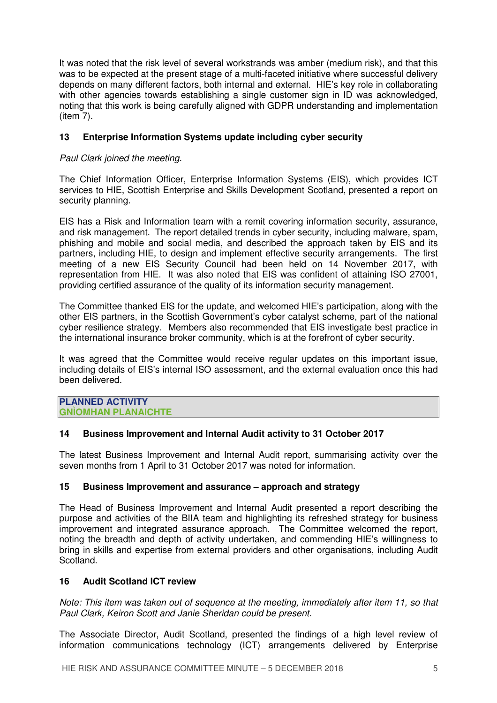It was noted that the risk level of several workstrands was amber (medium risk), and that this was to be expected at the present stage of a multi-faceted initiative where successful delivery depends on many different factors, both internal and external. HIE's key role in collaborating with other agencies towards establishing a single customer sign in ID was acknowledged, noting that this work is being carefully aligned with GDPR understanding and implementation (item 7).

# **13 Enterprise Information Systems update including cyber security**

# Paul Clark joined the meeting.

The Chief Information Officer, Enterprise Information Systems (EIS), which provides ICT services to HIE, Scottish Enterprise and Skills Development Scotland, presented a report on security planning.

EIS has a Risk and Information team with a remit covering information security, assurance, and risk management. The report detailed trends in cyber security, including malware, spam, phishing and mobile and social media, and described the approach taken by EIS and its partners, including HIE, to design and implement effective security arrangements. The first meeting of a new EIS Security Council had been held on 14 November 2017, with representation from HIE. It was also noted that EIS was confident of attaining ISO 27001, providing certified assurance of the quality of its information security management.

The Committee thanked EIS for the update, and welcomed HIE's participation, along with the other EIS partners, in the Scottish Government's cyber catalyst scheme, part of the national cyber resilience strategy. Members also recommended that EIS investigate best practice in the international insurance broker community, which is at the forefront of cyber security.

It was agreed that the Committee would receive regular updates on this important issue, including details of EIS's internal ISO assessment, and the external evaluation once this had been delivered.

### **PLANNED ACTIVITY GNÌOMHAN PLANAICHTE**

# **14 Business Improvement and Internal Audit activity to 31 October 2017**

The latest Business Improvement and Internal Audit report, summarising activity over the seven months from 1 April to 31 October 2017 was noted for information.

### **15 Business Improvement and assurance – approach and strategy**

The Head of Business Improvement and Internal Audit presented a report describing the purpose and activities of the BIIA team and highlighting its refreshed strategy for business improvement and integrated assurance approach. The Committee welcomed the report, noting the breadth and depth of activity undertaken, and commending HIE's willingness to bring in skills and expertise from external providers and other organisations, including Audit Scotland.

### **16 Audit Scotland ICT review**

Note: This item was taken out of sequence at the meeting, immediately after item 11, so that Paul Clark, Keiron Scott and Janie Sheridan could be present.

The Associate Director, Audit Scotland, presented the findings of a high level review of information communications technology (ICT) arrangements delivered by Enterprise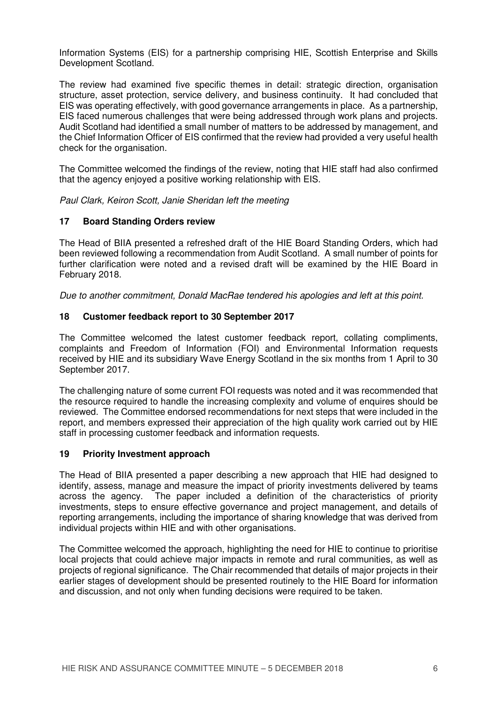Information Systems (EIS) for a partnership comprising HIE, Scottish Enterprise and Skills Development Scotland.

The review had examined five specific themes in detail: strategic direction, organisation structure, asset protection, service delivery, and business continuity. It had concluded that EIS was operating effectively, with good governance arrangements in place. As a partnership, EIS faced numerous challenges that were being addressed through work plans and projects. Audit Scotland had identified a small number of matters to be addressed by management, and the Chief Information Officer of EIS confirmed that the review had provided a very useful health check for the organisation.

The Committee welcomed the findings of the review, noting that HIE staff had also confirmed that the agency enjoyed a positive working relationship with EIS.

Paul Clark, Keiron Scott, Janie Sheridan left the meeting

# **17 Board Standing Orders review**

The Head of BIIA presented a refreshed draft of the HIE Board Standing Orders, which had been reviewed following a recommendation from Audit Scotland. A small number of points for further clarification were noted and a revised draft will be examined by the HIE Board in February 2018.

Due to another commitment, Donald MacRae tendered his apologies and left at this point.

# **18 Customer feedback report to 30 September 2017**

The Committee welcomed the latest customer feedback report, collating compliments, complaints and Freedom of Information (FOI) and Environmental Information requests received by HIE and its subsidiary Wave Energy Scotland in the six months from 1 April to 30 September 2017.

The challenging nature of some current FOI requests was noted and it was recommended that the resource required to handle the increasing complexity and volume of enquires should be reviewed. The Committee endorsed recommendations for next steps that were included in the report, and members expressed their appreciation of the high quality work carried out by HIE staff in processing customer feedback and information requests.

## **19 Priority Investment approach**

The Head of BIIA presented a paper describing a new approach that HIE had designed to identify, assess, manage and measure the impact of priority investments delivered by teams across the agency. The paper included a definition of the characteristics of priority investments, steps to ensure effective governance and project management, and details of reporting arrangements, including the importance of sharing knowledge that was derived from individual projects within HIE and with other organisations.

The Committee welcomed the approach, highlighting the need for HIE to continue to prioritise local projects that could achieve major impacts in remote and rural communities, as well as projects of regional significance. The Chair recommended that details of major projects in their earlier stages of development should be presented routinely to the HIE Board for information and discussion, and not only when funding decisions were required to be taken.